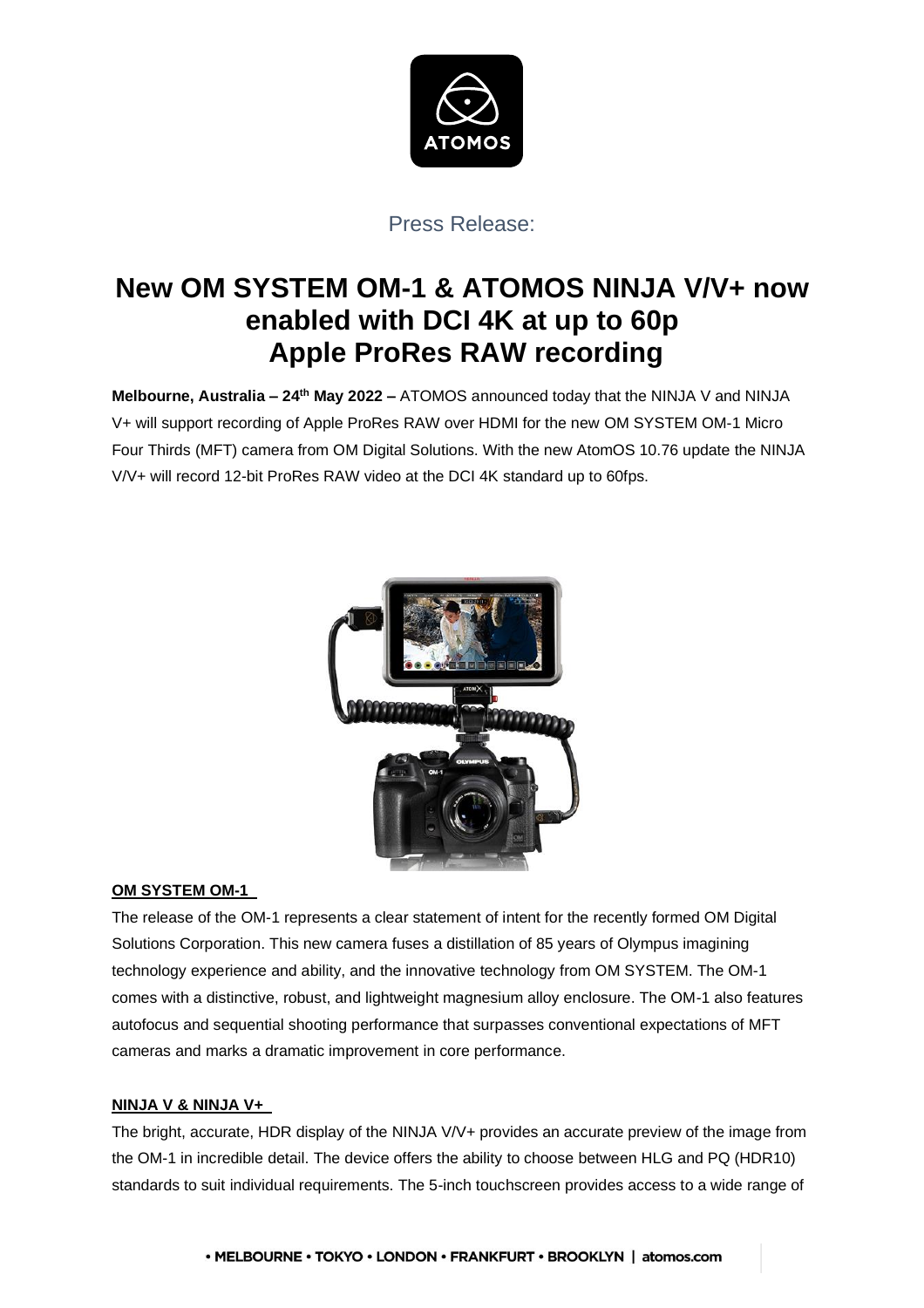

# Press Release:

# **New OM SYSTEM OM-1 & ATOMOS NINJA V/V+ now enabled with DCI 4K at up to 60p Apple ProRes RAW recording**

**Melbourne, Australia – 24th May 2022 –** ATOMOS announced today that the NINJA V and NINJA V+ will support recording of Apple ProRes RAW over HDMI for the new OM SYSTEM OM-1 Micro Four Thirds (MFT) camera from OM Digital Solutions. With the new AtomOS 10.76 update the NINJA V/V+ will record 12-bit ProRes RAW video at the DCI 4K standard up to 60fps.



#### **OM SYSTEM OM-1**

The release of the OM-1 represents a clear statement of intent for the recently formed OM Digital Solutions Corporation. This new camera fuses a distillation of 85 years of Olympus imagining technology experience and ability, and the innovative technology from OM SYSTEM. The OM-1 comes with a distinctive, robust, and lightweight magnesium alloy enclosure. The OM-1 also features autofocus and sequential shooting performance that surpasses conventional expectations of MFT cameras and marks a dramatic improvement in core performance.

#### **NINJA V & NINJA V+**

The bright, accurate, HDR display of the NINJA V/V+ provides an accurate preview of the image from the OM-1 in incredible detail. The device offers the ability to choose between HLG and PQ (HDR10) standards to suit individual requirements. The 5-inch touchscreen provides access to a wide range of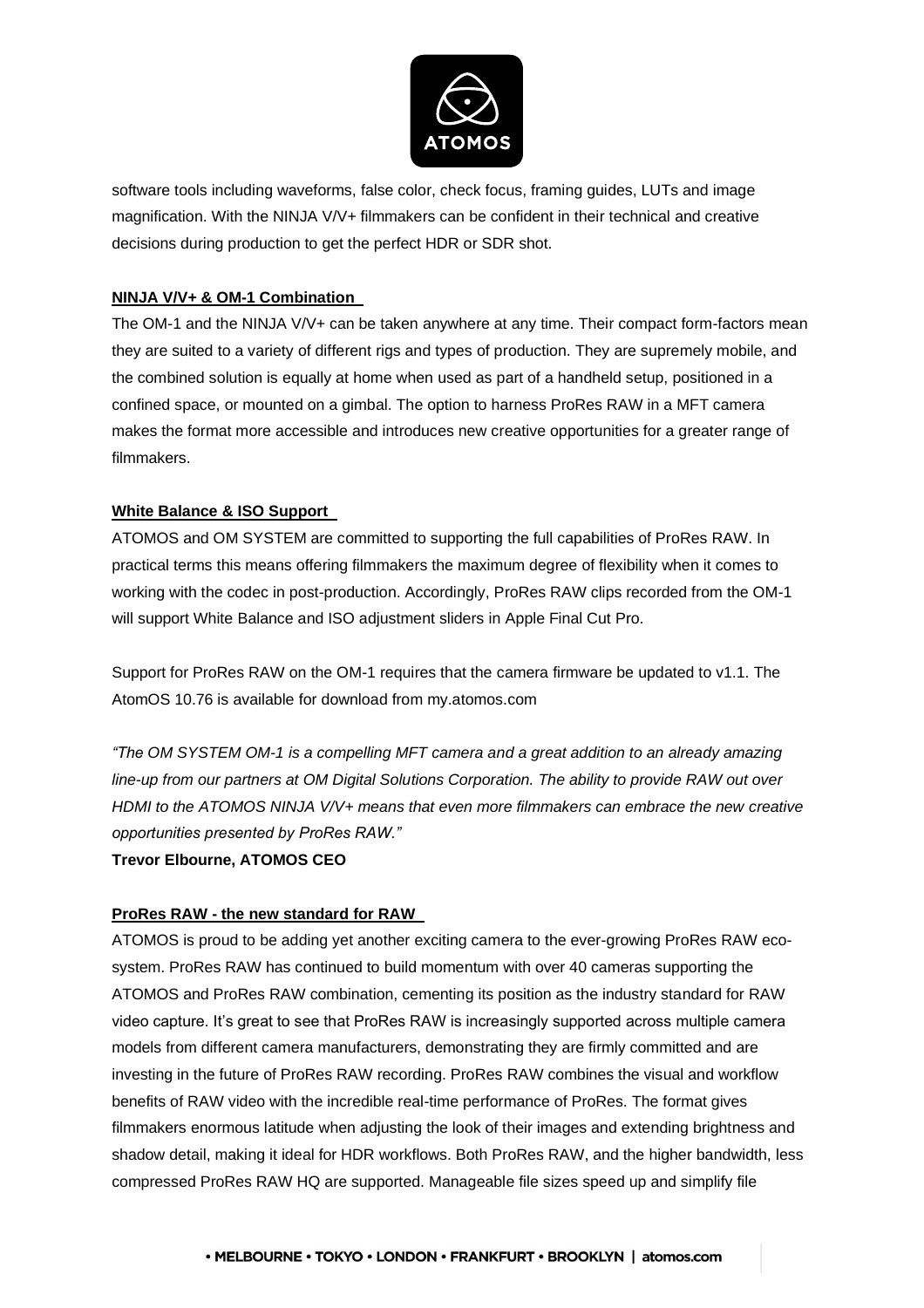

software tools including waveforms, false color, check focus, framing guides, LUTs and image magnification. With the NINJA V/V+ filmmakers can be confident in their technical and creative decisions during production to get the perfect HDR or SDR shot.

## **NINJA V/V+ & OM-1 Combination**

The OM-1 and the NINJA V/V+ can be taken anywhere at any time. Their compact form-factors mean they are suited to a variety of different rigs and types of production. They are supremely mobile, and the combined solution is equally at home when used as part of a handheld setup, positioned in a confined space, or mounted on a gimbal. The option to harness ProRes RAW in a MFT camera makes the format more accessible and introduces new creative opportunities for a greater range of filmmakers.

### **White Balance & ISO Support**

ATOMOS and OM SYSTEM are committed to supporting the full capabilities of ProRes RAW. In practical terms this means offering filmmakers the maximum degree of flexibility when it comes to working with the codec in post-production. Accordingly, ProRes RAW clips recorded from the OM-1 will support White Balance and ISO adjustment sliders in Apple Final Cut Pro.

Support for ProRes RAW on the OM-1 requires that the camera firmware be updated to v1.1. The AtomOS 10.76 is available for download from my.atomos.com

*"The OM SYSTEM OM-1 is a compelling MFT camera and a great addition to an already amazing line-up from our partners at OM Digital Solutions Corporation. The ability to provide RAW out over HDMI to the ATOMOS NINJA V/V+ means that even more filmmakers can embrace the new creative opportunities presented by ProRes RAW."* 

**Trevor Elbourne, ATOMOS CEO** 

#### **ProRes RAW - the new standard for RAW**

ATOMOS is proud to be adding yet another exciting camera to the ever-growing ProRes RAW ecosystem. ProRes RAW has continued to build momentum with over 40 cameras supporting the ATOMOS and ProRes RAW combination, cementing its position as the industry standard for RAW video capture. It's great to see that ProRes RAW is increasingly supported across multiple camera models from different camera manufacturers, demonstrating they are firmly committed and are investing in the future of ProRes RAW recording. ProRes RAW combines the visual and workflow benefits of RAW video with the incredible real-time performance of ProRes. The format gives filmmakers enormous latitude when adjusting the look of their images and extending brightness and shadow detail, making it ideal for HDR workflows. Both ProRes RAW, and the higher bandwidth, less compressed ProRes RAW HQ are supported. Manageable file sizes speed up and simplify file